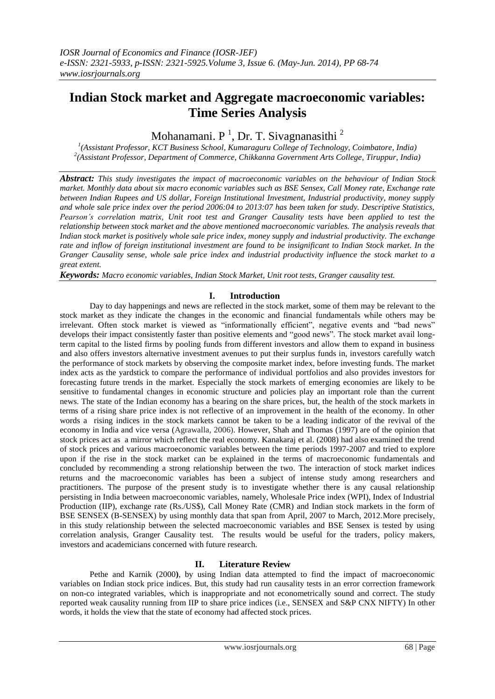# **Indian Stock market and Aggregate macroeconomic variables: Time Series Analysis**

Mohanamani. P<sup>1</sup>, Dr. T. Sivagnanasithi<sup>2</sup>

*1 (Assistant Professor, KCT Business School, Kumaraguru College of Technology, Coimbatore, India) 2 (Assistant Professor, Department of Commerce, Chikkanna Government Arts College, Tiruppur, India)*

*Abstract: This study investigates the impact of macroeconomic variables on the behaviour of Indian Stock market. Monthly data about six macro economic variables such as BSE Sensex, Call Money rate, Exchange rate between Indian Rupees and US dollar, Foreign Institutional Investment, Industrial productivity, money supply and whole sale price index over the period 2006:04 to 2013:07 has been taken for study. Descriptive Statistics, Pearson's correlation matrix, Unit root test and Granger Causality tests have been applied to test the relationship between stock market and the above mentioned macroeconomic variables. The analysis reveals that Indian stock market is positively whole sale price index, money supply and industrial productivity. The exchange rate and inflow of foreign institutional investment are found to be insignificant to Indian Stock market. In the Granger Causality sense, whole sale price index and industrial productivity influence the stock market to a great extent.*

*Keywords: Macro economic variables, Indian Stock Market, Unit root tests, Granger causality test.*

## **I. Introduction**

Day to day happenings and news are reflected in the stock market, some of them may be relevant to the stock market as they indicate the changes in the economic and financial fundamentals while others may be irrelevant. Often stock market is viewed as "informationally efficient", negative events and "bad news" develops their impact consistently faster than positive elements and "good news". The stock market avail longterm capital to the listed firms by pooling funds from different investors and allow them to expand in business and also offers investors alternative investment avenues to put their surplus funds in, investors carefully watch the performance of stock markets by observing the composite market index, before investing funds. The market index acts as the yardstick to compare the performance of individual portfolios and also provides investors for forecasting future trends in the market. Especially the stock markets of emerging economies are likely to be sensitive to fundamental changes in economic structure and policies play an important role than the current news. The state of the Indian economy has a bearing on the share prices, but, the health of the stock markets in terms of a rising share price index is not reflective of an improvement in the health of the economy. In other words a rising indices in the stock markets cannot be taken to be a leading indicator of the revival of the economy in India and vice versa (Agrawalla, 2006). However, Shah and Thomas (1997) are of the opinion that stock prices act as a mirror which reflect the real economy. Kanakaraj et al. (2008) had also examined the trend of stock prices and various macroeconomic variables between the time periods 1997-2007 and tried to explore upon if the rise in the stock market can be explained in the terms of macroeconomic fundamentals and concluded by recommending a strong relationship between the two. The interaction of stock market indices returns and the macroeconomic variables has been a subject of intense study among researchers and practitioners. The purpose of the present study is to investigate whether there is any causal relationship persisting in India between macroeconomic variables, namely, Wholesale Price index (WPI), Index of Industrial Production (IIP), exchange rate (Rs./US\$), Call Money Rate (CMR) and Indian stock markets in the form of BSE SENSEX (B-SENSEX) by using monthly data that span from April, 2007 to March, 2012.More precisely, in this study relationship between the selected macroeconomic variables and BSE Sensex is tested by using correlation analysis, Granger Causality test. The results would be useful for the traders, policy makers, investors and academicians concerned with future research.

### **II. Literature Review**

Pethe and Karnik (2000**)**, by using Indian data attempted to find the impact of macroeconomic variables on Indian stock price indices. But, this study had run causality tests in an error correction framework on non-co integrated variables, which is inappropriate and not econometrically sound and correct. The study reported weak causality running from IIP to share price indices (i.e., SENSEX and S&P CNX NIFTY) In other words, it holds the view that the state of economy had affected stock prices.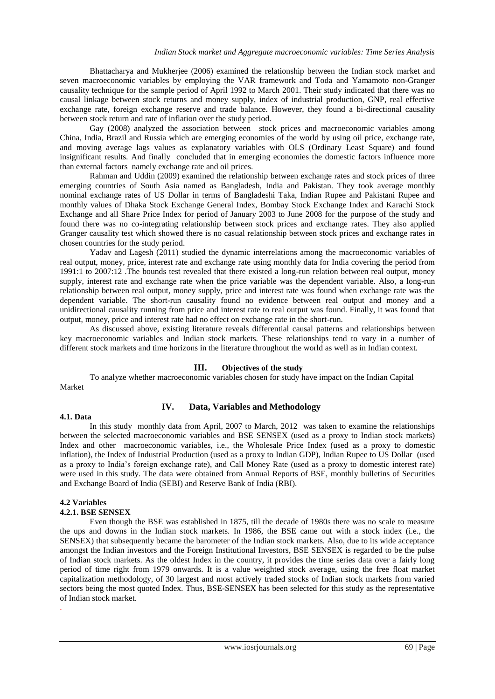Bhattacharya and Mukherjee (2006) examined the relationship between the Indian stock market and seven macroeconomic variables by employing the VAR framework and Toda and Yamamoto non-Granger causality technique for the sample period of April 1992 to March 2001. Their study indicated that there was no causal linkage between stock returns and money supply, index of industrial production, GNP, real effective exchange rate, foreign exchange reserve and trade balance. However, they found a bi-directional causality between stock return and rate of inflation over the study period.

Gay (2008) analyzed the association between stock prices and macroeconomic variables among China, India, Brazil and Russia which are emerging economies of the world by using oil price, exchange rate, and moving average lags values as explanatory variables with OLS (Ordinary Least Square) and found insignificant results. And finally concluded that in emerging economies the domestic factors influence more than external factors namely exchange rate and oil prices.

Rahman and Uddin (2009) examined the relationship between exchange rates and stock prices of three emerging countries of South Asia named as Bangladesh, India and Pakistan. They took average monthly nominal exchange rates of US Dollar in terms of Bangladeshi Taka, Indian Rupee and Pakistani Rupee and monthly values of Dhaka Stock Exchange General Index, Bombay Stock Exchange Index and Karachi Stock Exchange and all Share Price Index for period of January 2003 to June 2008 for the purpose of the study and found there was no co-integrating relationship between stock prices and exchange rates. They also applied Granger causality test which showed there is no casual relationship between stock prices and exchange rates in chosen countries for the study period.

Yadav and Lagesh (2011) studied the dynamic interrelations among the macroeconomic variables of real output, money, price, interest rate and exchange rate using monthly data for India covering the period from 1991:1 to 2007:12 .The bounds test revealed that there existed a long-run relation between real output, money supply, interest rate and exchange rate when the price variable was the dependent variable. Also, a long-run relationship between real output, money supply, price and interest rate was found when exchange rate was the dependent variable. The short-run causality found no evidence between real output and money and a unidirectional causality running from price and interest rate to real output was found. Finally, it was found that output, money, price and interest rate had no effect on exchange rate in the short-run.

As discussed above, existing literature reveals differential causal patterns and relationships between key macroeconomic variables and Indian stock markets. These relationships tend to vary in a number of different stock markets and time horizons in the literature throughout the world as well as in Indian context.

### **III. Objectives of the study**

To analyze whether macroeconomic variables chosen for study have impact on the Indian Capital Market

#### **4.1. Data**

### **IV. Data, Variables and Methodology**

In this study monthly data from April, 2007 to March, 2012 was taken to examine the relationships between the selected macroeconomic variables and BSE SENSEX (used as a proxy to Indian stock markets) Index and other macroeconomic variables, i.e., the Wholesale Price Index (used as a proxy to domestic inflation), the Index of Industrial Production (used as a proxy to Indian GDP), Indian Rupee to US Dollar (used as a proxy to India"s foreign exchange rate), and Call Money Rate (used as a proxy to domestic interest rate) were used in this study. The data were obtained from Annual Reports of BSE, monthly bulletins of Securities and Exchange Board of India (SEBI) and Reserve Bank of India (RBI).

#### **4.2 Variables**

.

#### **4.2.1. BSE SENSEX**

Even though the BSE was established in 1875, till the decade of 1980s there was no scale to measure the ups and downs in the Indian stock markets. In 1986, the BSE came out with a stock index (i.e., the SENSEX) that subsequently became the barometer of the Indian stock markets. Also, due to its wide acceptance amongst the Indian investors and the Foreign Institutional Investors, BSE SENSEX is regarded to be the pulse of Indian stock markets. As the oldest Index in the country, it provides the time series data over a fairly long period of time right from 1979 onwards. It is a value weighted stock average, using the free float market capitalization methodology, of 30 largest and most actively traded stocks of Indian stock markets from varied sectors being the most quoted Index. Thus, BSE-SENSEX has been selected for this study as the representative of Indian stock market.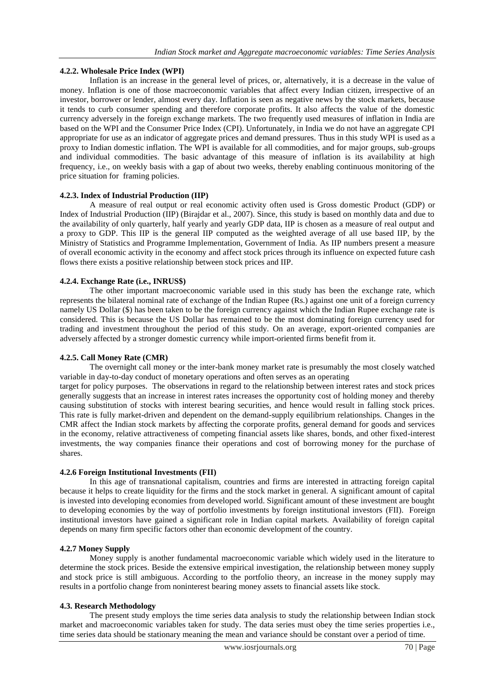#### **4.2.2. Wholesale Price Index (WPI)**

Inflation is an increase in the general level of prices, or, alternatively, it is a decrease in the value of money. Inflation is one of those macroeconomic variables that affect every Indian citizen, irrespective of an investor, borrower or lender, almost every day. Inflation is seen as negative news by the stock markets, because it tends to curb consumer spending and therefore corporate profits. It also affects the value of the domestic currency adversely in the foreign exchange markets. The two frequently used measures of inflation in India are based on the WPI and the Consumer Price Index (CPI). Unfortunately, in India we do not have an aggregate CPI appropriate for use as an indicator of aggregate prices and demand pressures. Thus in this study WPI is used as a proxy to Indian domestic inflation. The WPI is available for all commodities, and for major groups, sub-groups and individual commodities. The basic advantage of this measure of inflation is its availability at high frequency, i.e., on weekly basis with a gap of about two weeks, thereby enabling continuous monitoring of the price situation for framing policies.

#### **4.2.3. Index of Industrial Production (IIP)**

A measure of real output or real economic activity often used is Gross domestic Product (GDP) or Index of Industrial Production (IIP) (Birajdar et al., 2007). Since, this study is based on monthly data and due to the availability of only quarterly, half yearly and yearly GDP data, IIP is chosen as a measure of real output and a proxy to GDP. This IIP is the general IIP computed as the weighted average of all use based IIP, by the Ministry of Statistics and Programme Implementation, Government of India. As IIP numbers present a measure of overall economic activity in the economy and affect stock prices through its influence on expected future cash flows there exists a positive relationship between stock prices and IIP.

#### **4.2.4. Exchange Rate (i.e., INRUS\$)**

The other important macroeconomic variable used in this study has been the exchange rate, which represents the bilateral nominal rate of exchange of the Indian Rupee (Rs.) against one unit of a foreign currency namely US Dollar (\$) has been taken to be the foreign currency against which the Indian Rupee exchange rate is considered. This is because the US Dollar has remained to be the most dominating foreign currency used for trading and investment throughout the period of this study. On an average, export-oriented companies are adversely affected by a stronger domestic currency while import-oriented firms benefit from it.

#### **4.2.5. Call Money Rate (CMR)**

The overnight call money or the inter-bank money market rate is presumably the most closely watched variable in day-to-day conduct of monetary operations and often serves as an operating

target for policy purposes. The observations in regard to the relationship between interest rates and stock prices generally suggests that an increase in interest rates increases the opportunity cost of holding money and thereby causing substitution of stocks with interest bearing securities, and hence would result in falling stock prices. This rate is fully market-driven and dependent on the demand-supply equilibrium relationships. Changes in the CMR affect the Indian stock markets by affecting the corporate profits, general demand for goods and services in the economy, relative attractiveness of competing financial assets like shares, bonds, and other fixed-interest investments, the way companies finance their operations and cost of borrowing money for the purchase of shares.

#### **4.2.6 Foreign Institutional Investments (FII)**

In this age of transnational capitalism, countries and firms are interested in attracting foreign capital because it helps to create liquidity for the firms and the stock market in general. A significant amount of capital is invested into developing economies from developed world. Significant amount of these investment are bought to developing economies by the way of portfolio investments by foreign institutional investors (FII). Foreign institutional investors have gained a significant role in Indian capital markets. Availability of foreign capital depends on many firm specific factors other than economic development of the country.

#### **4.2.7 Money Supply**

Money supply is another fundamental macroeconomic variable which widely used in the literature to determine the stock prices. Beside the extensive empirical investigation, the relationship between money supply and stock price is still ambiguous. According to the portfolio theory, an increase in the money supply may results in a portfolio change from noninterest bearing money assets to financial assets like stock.

### **4.3. Research Methodology**

The present study employs the time series data analysis to study the relationship between Indian stock market and macroeconomic variables taken for study. The data series must obey the time series properties i.e., time series data should be stationary meaning the mean and variance should be constant over a period of time.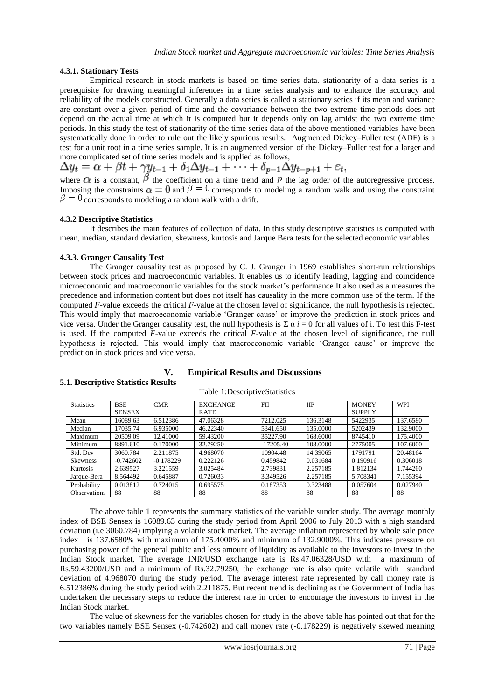#### **4.3.1. Stationary Tests**

Empirical research in stock markets is based on time series data. stationarity of a data series is a prerequisite for drawing meaningful inferences in a time series analysis and to enhance the accuracy and reliability of the models constructed. Generally a data series is called a stationary series if its mean and variance are constant over a given period of time and the covariance between the two extreme time periods does not depend on the actual time at which it is computed but it depends only on lag amidst the two extreme time periods. In this study the test of stationarity of the time series data of the above mentioned variables have been systematically done in order to rule out the likely spurious results. Augmented Dickey–Fuller test (ADF) is a test for a [unit root](http://en.wikipedia.org/wiki/Unit_root) in a [time series](http://en.wikipedia.org/wiki/Time_series) [sample.](http://en.wikipedia.org/wiki/Sample_%28statistics%29) It is an augmented version of the [Dickey–Fuller test](http://en.wikipedia.org/wiki/Dickey%E2%80%93Fuller_test) for a larger and more complicated set of time series models and is applied as follows,

where  $\alpha$  is a constant,  $\beta$  the coefficient on a time trend and  $\beta$  the lag order of the autoregressive process. Imposing the constraints  $\alpha = 0$  and  $\beta = 0$  corresponds to modeling a random walk and using the constraint  $\beta = 0$  corresponds to modeling a random walk with a drift.

#### **4.3.2 Descriptive Statistics**

It describes the main features of collection of data. In this study descriptive statistics is computed with mean, median, standard deviation, skewness, kurtosis and Jarque Bera tests for the selected economic variables

#### **4.3.3. Granger Causality Test**

**5.1. Descriptive Statistics Results**

The Granger causality test as proposed by C. J. Granger in 1969 establishes short-run relationships between stock prices and macroeconomic variables. It enables us to identify leading, lagging and coincidence microeconomic and macroeconomic variables for the stock market"s performance It also used as a measures the precedence and information content but does not itself has causality in the more common use of the term. If the computed *F*-value exceeds the critical *F*-value at the chosen level of significance, the null hypothesis is rejected. This would imply that macroeconomic variable "Granger cause" or improve the prediction in stock prices and vice versa. Under the Granger causality test, the null hypothesis is Σ  $\alpha$  *i* = 0 for all values of i. To test this F-test is used. If the computed *F*-value exceeds the critical *F*-value at the chosen level of significance, the null hypothesis is rejected. This would imply that macroeconomic variable "Granger cause" or improve the prediction in stock prices and vice versa.

#### Statistics BSE SENSEX<br>16089.63 CMR EXCHANGE RATE FII IIP MONEY SUPPLY<br>5422935 WPI Mean 16089.63 6.512386 47.06328 7212.025 136.3148 5422935 137.6580 Median 17035.74 6.935000 46.22340 5341.650 135.0000 5202439 132.9000 Maximum 20509.09 12.41000 59.43200 35227.90 168.6000 8745410 175.4000 Minimum 8891.610 0.170000 32.79250 -17205.40 108.0000 2775005 107.6000 Std. Dev | 3060.784 | 2.211875 | 4.968070 | 10904.48 | 14.39065 | 1791791 | 20.48164 Skewness | -0.742602 | -0.178229 | 0.222126 | 0.459842 | 0.031684 | 0.190916 | 0.306018 Kurtosis 2.639527 3.221559 3.025484 2.739831 2.257185 1.812134 1.744260 Jarque-Bera 8.564492 0.645887 0.726033 3.349526 2.257185 5.708341 7.155394 Probability 0.013812 0.724015 0.695575 0.187353 0.323488 0.057604 0.027940 Observations | 88 | 88 | 88 | 88 | 88 | 88 | 88

#### Table 1:DescriptiveStatistics

**V. Empirical Results and Discussions**

The above table 1 represents the summary statistics of the variable sunder study. The average monthly index of BSE Sensex is 16089.63 during the study period from April 2006 to July 2013 with a high standard deviation (i.e 3060.784) implying a volatile stock market. The average inflation represented by whole sale price index is 137.6580% with maximum of 175.4000% and minimum of 132.9000%. This indicates pressure on purchasing power of the general public and less amount of liquidity as available to the investors to invest in the Indian Stock market, The average INR/USD exchange rate is Rs.47.06328/USD with a maximum of Rs.59.43200/USD and a minimum of Rs.32.79250, the exchange rate is also quite volatile with standard deviation of 4.968070 during the study period. The average interest rate represented by call money rate is 6.512386% during the study period with 2.211875. But recent trend is declining as the Government of India has undertaken the necessary steps to reduce the interest rate in order to encourage the investors to invest in the Indian Stock market.

The value of skewness for the variables chosen for study in the above table has pointed out that for the two variables namely BSE Sensex (-0.742602) and call money rate (-0.178229) is negatively skewed meaning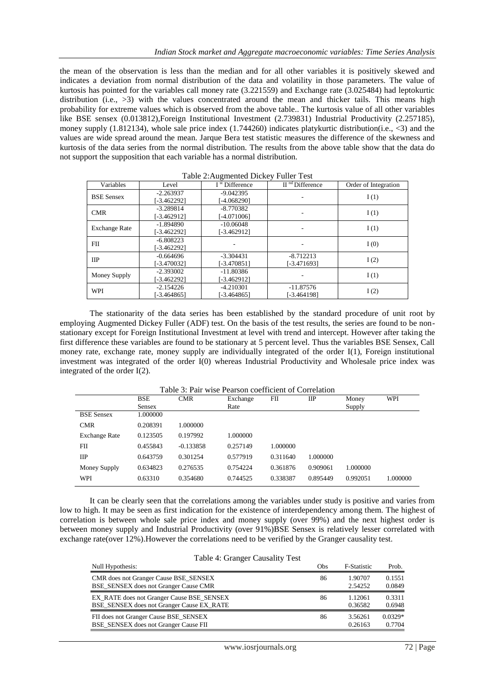the mean of the observation is less than the median and for all other variables it is positively skewed and indicates a deviation from normal distribution of the data and volatility in those parameters. The value of kurtosis has pointed for the variables call money rate (3.221559) and Exchange rate (3.025484) had leptokurtic distribution (i.e., >3) with the values concentrated around the mean and thicker tails. This means high probability for extreme values which is observed from the above table.. The kurtosis value of all other variables like BSE sensex (0.013812),Foreign Institutional Investment (2.739831) Industrial Productivity (2.257185), money supply (1.812134), whole sale price index (1.744260) indicates platykurtic distribution(i.e.,  $\langle 3 \rangle$  and the values are wide spread around the mean. Jarque Bera test statistic measures the difference of the skewness and kurtosis of the data series from the normal distribution. The results from the above table show that the data do not support the supposition that each variable has a normal distribution.

| Variables            | Level         | $\circ$<br>I <sup>st</sup> Difference | II <sup>nd</sup> Difference | Order of Integration |
|----------------------|---------------|---------------------------------------|-----------------------------|----------------------|
| <b>BSE</b> Sensex    | $-2.263937$   | $-9.042395$                           | I(1)                        |                      |
|                      | [-3.462292]   | [-4.068290]                           |                             |                      |
| <b>CMR</b>           | $-3.289814$   | $-8.770382$                           |                             | I(1)                 |
|                      | [-3.462912]   | [-4.071006]                           |                             |                      |
| <b>Exchange Rate</b> | $-1.894890$   | $-10.06048$                           |                             | I(1)                 |
|                      | $[-3.462292]$ | $[-3.462912]$                         |                             |                      |
| FII                  | $-6.808223$   |                                       |                             | I(0)                 |
|                      | [-3.462292]   |                                       |                             |                      |
| $_{\text{HP}}$       | $-0.664696$   | $-3.304431$                           | $-8.712213$                 | I(2)                 |
|                      | [-3.470032]   | $[-3.470851]$                         | [-3.471693]                 |                      |
| Money Supply         | $-2.393002$   | $-11.80386$                           |                             | I(1)                 |
|                      | $[-3.462292]$ | [-3.462912]                           |                             |                      |
| <b>WPI</b>           | $-2.154226$   | $-4.210301$                           | $-11.87576$                 |                      |
|                      | $[-3.464865]$ | $[-3.464865]$                         | [-3.464198]                 | I(2)                 |

| Table 2: Augmented Dickey Fuller Test |  |
|---------------------------------------|--|
|                                       |  |

The stationarity of the data series has been established by the standard procedure of unit root by employing Augmented Dickey Fuller (ADF) test. On the basis of the test results, the series are found to be nonstationary except for Foreign Institutional Investment at level with trend and intercept. However after taking the first difference these variables are found to be stationary at 5 percent level. Thus the variables BSE Sensex, Call money rate, exchange rate, money supply are individually integrated of the order I(1), Foreign institutional investment was integrated of the order I(0) whereas Industrial Productivity and Wholesale price index was integrated of the order I(2).

| Table 3: Pair wise Pearson coefficient of Correlation |            |             |          |          |                |          |          |
|-------------------------------------------------------|------------|-------------|----------|----------|----------------|----------|----------|
|                                                       | <b>BSE</b> | <b>CMR</b>  | Exchange | FII      | $_{\text{HP}}$ | Money    | WPI      |
|                                                       | Sensex     |             | Rate     |          |                | Supply   |          |
| <b>BSE</b> Sensex                                     | 1.000000   |             |          |          |                |          |          |
| <b>CMR</b>                                            | 0.208391   | 1.000000    |          |          |                |          |          |
| <b>Exchange Rate</b>                                  | 0.123505   | 0.197992    | 1.000000 |          |                |          |          |
| FII                                                   | 0.455843   | $-0.133858$ | 0.257149 | 1.000000 |                |          |          |
| <b>IIP</b>                                            | 0.643759   | 0.301254    | 0.577919 | 0.311640 | 1.000000       |          |          |
| Money Supply                                          | 0.634823   | 0.276535    | 0.754224 | 0.361876 | 0.909061       | 1.000000 |          |
| WPI                                                   | 0.63310    | 0.354680    | 0.744525 | 0.338387 | 0.895449       | 0.992051 | 1.000000 |

It can be clearly seen that the correlations among the variables under study is positive and varies from low to high. It may be seen as first indication for the existence of interdependency among them. The highest of correlation is between whole sale price index and money supply (over 99%) and the next highest order is between money supply and Industrial Productivity (over 91%)BSE Sensex is relatively lesser correlated with exchange rate(over 12%).However the correlations need to be verified by the Granger causality test.

| Table 4: Granger Causality Test                  |     |                    |           |  |  |
|--------------------------------------------------|-----|--------------------|-----------|--|--|
| Null Hypothesis:                                 | Obs | <b>F-Statistic</b> | Prob.     |  |  |
| CMR does not Granger Cause BSE_SENSEX            | 86  | 1.90707            | 0.1551    |  |  |
| BSE_SENSEX does not Granger Cause CMR            |     | 2.54252            | 0.0849    |  |  |
| <b>EX_RATE</b> does not Granger Cause BSE_SENSEX | 86  | 1.12061            | 0.3311    |  |  |
| BSE SENSEX does not Granger Cause EX RATE        |     | 0.36582            | 0.6948    |  |  |
| FII does not Granger Cause BSE_SENSEX            | 86  | 3.56261            | $0.0329*$ |  |  |
| BSE_SENSEX does not Granger Cause FII            |     | 0.26163            | 0.7704    |  |  |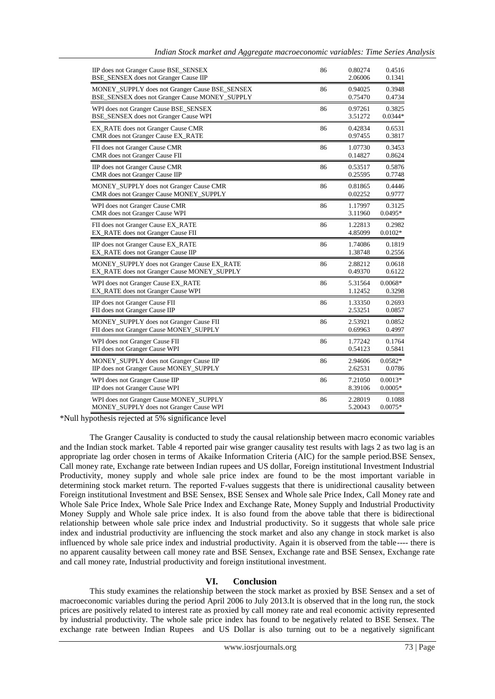| IIP does not Granger Cause BSE_SENSEX          | 86 | 0.80274 | 0.4516    |
|------------------------------------------------|----|---------|-----------|
| BSE_SENSEX does not Granger Cause IIP          |    | 2.06006 | 0.1341    |
| MONEY_SUPPLY does not Granger Cause BSE_SENSEX | 86 | 0.94025 | 0.3948    |
| BSE_SENSEX does not Granger Cause MONEY_SUPPLY |    | 0.75470 | 0.4734    |
| WPI does not Granger Cause BSE_SENSEX          | 86 | 0.97261 | 0.3825    |
| BSE_SENSEX does not Granger Cause WPI          |    | 3.51272 | $0.0344*$ |
| EX_RATE does not Granger Cause CMR             | 86 | 0.42834 | 0.6531    |
| CMR does not Granger Cause EX_RATE             |    | 0.97455 | 0.3817    |
| FII does not Granger Cause CMR                 | 86 | 1.07730 | 0.3453    |
| <b>CMR</b> does not Granger Cause FII          |    | 0.14827 | 0.8624    |
| IIP does not Granger Cause CMR                 | 86 | 0.53517 | 0.5876    |
| CMR does not Granger Cause IIP                 |    | 0.25595 | 0.7748    |
| MONEY_SUPPLY does not Granger Cause CMR        | 86 | 0.81865 | 0.4446    |
| CMR does not Granger Cause MONEY_SUPPLY        |    | 0.02252 | 0.9777    |
| WPI does not Granger Cause CMR                 | 86 | 1.17997 | 0.3125    |
| CMR does not Granger Cause WPI                 |    | 3.11960 | $0.0495*$ |
| FII does not Granger Cause EX_RATE             | 86 | 1.22813 | 0.2982    |
| <b>EX_RATE</b> does not Granger Cause FII      |    | 4.85099 | $0.0102*$ |
| IIP does not Granger Cause EX_RATE             | 86 | 1.74086 | 0.1819    |
| EX RATE does not Granger Cause IIP             |    | 1.38748 | 0.2556    |
| MONEY_SUPPLY does not Granger Cause EX_RATE    | 86 | 2.88212 | 0.0618    |
| EX_RATE does not Granger Cause MONEY_SUPPLY    |    | 0.49370 | 0.6122    |
| WPI does not Granger Cause EX_RATE             | 86 | 5.31564 | $0.0068*$ |
| EX_RATE does not Granger Cause WPI             |    | 1.12452 | 0.3298    |
| IIP does not Granger Cause FII                 | 86 | 1.33350 | 0.2693    |
| FII does not Granger Cause IIP                 |    | 2.53251 | 0.0857    |
| MONEY_SUPPLY does not Granger Cause FII        | 86 | 2.53921 | 0.0852    |
| FII does not Granger Cause MONEY_SUPPLY        |    | 0.69963 | 0.4997    |
| WPI does not Granger Cause FII                 | 86 | 1.77242 | 0.1764    |
| FII does not Granger Cause WPI                 |    | 0.54123 | 0.5841    |
| MONEY_SUPPLY does not Granger Cause IIP        | 86 | 2.94606 | $0.0582*$ |
| IIP does not Granger Cause MONEY_SUPPLY        |    | 2.62531 | 0.0786    |
| WPI does not Granger Cause IIP                 | 86 | 7.21050 | $0.0013*$ |
| IIP does not Granger Cause WPI                 |    | 8.39106 | $0.0005*$ |
| WPI does not Granger Cause MONEY_SUPPLY        | 86 | 2.28019 | 0.1088    |
| MONEY_SUPPLY does not Granger Cause WPI        |    | 5.20043 | $0.0075*$ |

\*Null hypothesis rejected at 5% significance level

The Granger Causality is conducted to study the causal relationship between macro economic variables and the Indian stock market. Table 4 reported pair wise granger causality test results with lags 2 as two lag is an appropriate lag order chosen in terms of Akaike Information Criteria (AIC) for the sample period.BSE Sensex, Call money rate, Exchange rate between Indian rupees and US dollar, Foreign institutional Investment Industrial Productivity, money supply and whole sale price index are found to be the most important variable in determining stock market return. The reported F-values suggests that there is unidirectional causality between Foreign institutional Investment and BSE Sensex, BSE Sensex and Whole sale Price Index, Call Money rate and Whole Sale Price Index, Whole Sale Price Index and Exchange Rate, Money Supply and Industrial Productivity Money Supply and Whole sale price index. It is also found from the above table that there is bidirectional relationship between whole sale price index and Industrial productivity. So it suggests that whole sale price index and industrial productivity are influencing the stock market and also any change in stock market is also influenced by whole sale price index and industrial productivity. Again it is observed from the table---- there is no apparent causality between call money rate and BSE Sensex, Exchange rate and BSE Sensex, Exchange rate and call money rate, Industrial productivity and foreign institutional investment.

#### **VI. Conclusion**

This study examines the relationship between the stock market as proxied by BSE Sensex and a set of macroeconomic variables during the period April 2006 to July 2013.It is observed that in the long run, the stock prices are positively related to interest rate as proxied by call money rate and real economic activity represented by industrial productivity. The whole sale price index has found to be negatively related to BSE Sensex. The exchange rate between Indian Rupees and US Dollar is also turning out to be a negatively significant